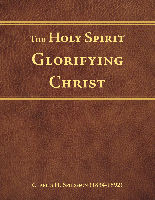# **The Holy Spirit Glorifying Christ**

**Charles H. Spurgeon (1834-1892)**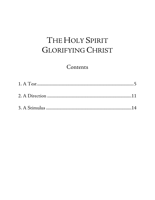## THE HOLY SPIRIT **GLORIFYING CHRIST**

## Contents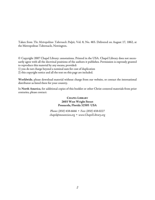Taken from *The Metropolitan Tabernacle Pulpit*, Vol. 8, No. 465. Delivered on August 17, 1862, at the Metropolitan Tabernacle, Newington.

© Copyright 2007 Chapel Library: annotations. Printed in the USA. Chapel Library does not necessarily agree with all the doctrinal positions of the authors it publishes. Permission is expressly granted to reproduce this material by any means, provided:

1) you do not charge beyond a nominal sum for cost of duplication

2) this copyright notice and all the text on this page are included.

**Worldwide**, please download material without charge from our website, or contact the international distributor as listed there for your country.

In **North America**, for additional copies of this booklet or other Christ-centered materials from prior centuries, please contact:

#### CHAPEL LIBRARY **2603 West Wright Street Pensacola, Florida 32505 USA**

*Phone: (850) 438-6666* • *Fax: (850) 438-0227 [chapel@mountzion.org](mailto:chapel@mountzion.org)* • *[www.ChapelLibrary.org](http://www.chapellibrary.org/)*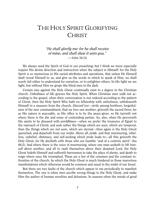## THE HOLY SPIRIT GLORIFYING **CHRIST**

*"He shall glorify me: for he shall receive of mine, and shall shew it unto you." —*John 16:14

We always need the Spirit of God in our preaching; but I think we more especially require His divine direction and instruction when the subject is *Himself*: for the Holy Spirit is so mysterious in His varied attributes and operations, that unless He Himself shall reveal Himself to us, and give us the words in which to speak of Him, we shall surely fail either to understand for ourselves, or to enlighten others. In *His* light we see light, but without Him we grope like blind men in the dark.

Certain sins against the Holy Ghost continually exist in a degree in the Christian church. *Unholiness of life* grieves the Holy Spirit. When Christian men walk not according to the gospel, when their conversation is not ordered according to the pattern of Christ, then the Holy Spirit Who hath no fellowship with unholiness, withdraweth Himself in a measure from the church. *Discord* too—strife among brethren, forgetfulness of the new commandment, that we love one another, grieveth the sacred Dove; for as His nature is peaceable, as His office is to be the peace-giver, so He tarrieth not where there is the din and noise of contending parties. So, also, when He perceiveth His saints to be diseased with *worldliness*—when we prefer the treasures of Egypt to the reproach of Christ; and seek rather the things which are seen, which are temporal, than the things which are not seen, which are eternal—then again is the Holy Ghost quenched, and departeth from our midst. Above all, *pride*, and that murmuring, rebellion, unbelief, obstinacy*,* and self-seeking which pride leads to—all this grieveth the Holy Ghost, for He dwelleth with those who are humble "and of a contrite spirit" (Isa 66:2). And where there is the voice of murmuring, where one man seeketh to lift himself above another, and all to exalt themselves above their despised Lord, the Holy Ghost hideth Himself and suffereth barrenness to take the place of plenty, and death to reign where once life triumphed. These are a few of the common and the constant infirmities of the church, by which the Holy Ghost is much hindered in those marvelous manifestations which otherwise would be common and usual in the midst of our Israel.

But there are two faults of the church which appear to me periodically to manifest themselves. The one is when men ascribe wrong things to the Holy Ghost, and make Him the author of human novelties and delusions. In seasons when the minds of good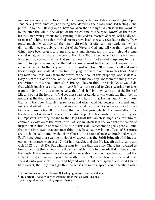men were anxiously alive to spiritual operations, certain weak-headed or designing persons have grown fanatical, and being bewildered by their own confused feelings, and puffed up by their fleshly mind, have forsaken the true light which is in the Word, to follow after the will-o'-the-wisps<sup>[1](#page-4-0)</sup> of their own fancies, the *ignis-fatuui*<sup>[2](#page-4-1)</sup> of their own brains. Such vain-glorious fools aspiring to be leaders, masters of sects, will boldly tell to men of itching ears that fresh doctrines have been specially revealed to them. They prate<sup>[3](#page-4-2)</sup> much of what they call the inner light (which is often an inner darkness), which dim candle they exalt above the light of the Word of God, and tell you that marvelous things have been taught to them in dreams and visions. Ah, this is a high and crying crime! What, will you lay at the door of the Holy Ghost a deed which God hath solemnly cursed? Do you not start back at such a thought? Is it not almost blasphemy to imagine it? And yet remember, he that adds a single word to the canon of inspiration is cursed. Give ear to the very words of the Lord our God: "If any man shall add unto these things, God shall add unto him the plagues that are written in this book: And if any man shall take away from the words of the book of this prophecy, God shall take away his part out of the book of life, and out of the holy city, and from the things which are written in this book" (Rev 22:18-19). And do you think the Holy Ghost would do that which involves a curse upon man? If I venture to add to God's Word, or to take from it, I do it with this as my penalty, that God shall blot my name out of the Book of Life and out of the holy city. And yet these base pretenders, who would lay their foolish notions at the door of God the Holy Ghost, will have it that He has taught them more than is in the Book; that He has removed that which God laid down as the grand landmark, and added to the finished testimony of God. Let none of you have any sort of patience with men who talk thus. Deny their very first principle; tell them—whether it be the deceiver of Western America, or the false prophet of Arabia—tell them that they are all imposters. For they ascribe to the Holy Ghost that which is impossible for Him to commit, a violation of the revealed will of God in which it is declared that the canon of inspiration is shut up once for all. A little of this evil I detect among godly people. I find that sometimes even gracious men think they have had revelations. Texts of Scripture are no doubt laid home by the Holy Ghost to the souls of men as much today as in Paul's time. And there can be no doubt whatever that the Spirit bringeth all things to our remembrance whatsoever Christ hath taught, and that He leadeth us into all truth (Joh 14:26; Joh 16:13). But when a man tells me that the Holy Ghost has revealed to him something that is not in the Bible, he lies! Is that a hard word? It doth but express the truth. The man may have dreamed his revelation; he may have fancied it; but the Holy Spirit goeth never beyond the written word. "He shall take of mine, and shall shew it unto you" (Joh 16:15). And beyond what Christ hath spoken and what Christ hath taught, the Holy Spirit goeth in no sense and in no respect. You understand what

<span id="page-4-0"></span><sup>1</sup> **will-o'-the-wisps** – unexplained flickering lights seen over marshlands.

<span id="page-4-1"></span><sup>2</sup> **ignis-fatuui** – *Latin*: will-o'-the wisps; things that delude; illusions.

<span id="page-4-2"></span><sup>&</sup>lt;sup>3</sup> prate – speak much to little purpose; chatter.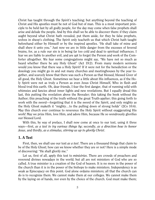Christ has taught through the Spirit's teaching; but anything beyond the teaching of Christ and His apostles must be not of God but of man. This is a most important principle to be held fast by all godly people, for the day may come when false prophets shall arise and delude the people. And by this shall we be able to discover them: if they claim aught beyond what Christ hath revealed, put them aside, for they be false prophets, wolves in sheep's clothing. The Spirit only teacheth us that which Christ hath taught beforehand either by Himself or by the inspired apostles. "He shall take of mine and shall shew it unto you." Just now we are in little danger from the excesses of fevered brains, for, as a rule our sin is in being far too cold and dead to spiritual influences. I fear we are liable to another evil, and are apt to forget the Person and work of the Comforter altogether. We fear some congregations might say, "We have not so much as heard whether there be any Holy Ghost" (Act 19:2). From many modern sermons would you know that there was a Holy Spirit? If it were not for the benediction or the doxology you might go in and out many churches and meetinghouses by the year together, and scarcely know that there was such a Person as that blessed, blessed Giver of all good, the Holy Ghost. Sometimes we hear a little about His influences, as if the Holy Spirit were not as truly a Person as even Jesus Christ Himself, Who in flesh and blood trod this earth. Oh, dear friends, I fear the first danger, that of running wild with whimsies and fancies about inner lights and new revelations. But I equally dread this last, this putting the revelation above the Revealer; this taking the book without the Author; this preaching of the truth without the great Truth-applier; this going forth to work with the sword—forgetting that it is the sword of the Spirit, and only mighty as the Holy Ghost maketh it "mighty…to the pulling down of strong holds" (2Co 10:4). May this church ever continue to reverence the Holy Spirit without exaggerating His work! May we prize Him, love Him, and adore Him, because He so wondrously glorifies our blessed Lord.

With this, by way of preface, I shall now come at once to our text, using it three ways—first, *as a test to try various things by*; secondly, *as a direction how to honor Jesus*, and thirdly, *as a stimulus, stirring us up to glorify Christ*.

## <span id="page-5-0"></span>1. A Test

First, then, we shall use our text *as a test*. There are a thousand things that claim to be of the Holy Ghost; how can we know whether they are or not? Here is a simple mode of discovering: "He shall glorify me."

Let us, first of all, apply this test to *ministries*. There are crowds of preachers and reverend divines nowadays in the world; but all are not ministers of God who are so called. A true minister is a creation of the God of heaven. It is no more in the power of the church than it is in the power of the bishops to make ministers. Independency is as weak as Episcopacy on this point. God alone ordains ministers; all that the church can do is to recognize them. We cannot make them at our colleges. We cannot make them by the laying on of hands, nor even by the choice of the church. God must make them;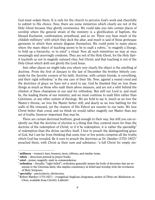God must ordain them. It is only for the church to perceive God's work and cheerfully to submit to His choice. Now, there are some ministries which clearly are not of the Holy Ghost because they glorify ceremonies. We could take you into certain places of worship where the general strain of the ministry is a glorification of baptism, the blessed Eucharist, confirmation, priesthood, and so on. There you hear much of the childish millinery<sup>[4](#page-6-0)</sup> with which they deck the altar, and much is said of those grotesque garments in which their priests disguise themselves. We could point to many places where the main object of teaching seems to be to exalt a rubric,<sup> $5$ </sup> to magnify a liturgy, to hold up a hierarchy, or to  $ext{extol}^6$  $ext{extol}^6$  a ritual. Now all such ministries we may at once sweepingly and unerringly condemn. They are not of the Holy Ghost, for the Holy Spirit teacheth us not to magnify outward rites, but Christ; and that teaching is not of the Holy Ghost which doth not glorify the Lord Jesus.

Into other places we might take you where very clearly the object is the extolling of doctrine. From the first of January to the last of December the brother bitterly contends for the favorite corners of his faith. Doctrine, with certain friends, is everything, and their rigid orthodoxy<sup>[7](#page-6-3)</sup> is the one care of their life. Now, against a sound creed and the doctrines of grace we have not a word to say. God be thanked that we love these things as much as those who exalt them above measure, and are not a whit behind the chiefest of these champions in our zeal for orthodoxy. But still our Lord is, and must be, the leading theme of our ministry; and we must continue to exalt Him rather than Calvinism, or any other system of theology. We are bold to say it, much as we love the Master's throne, we love the Master better still; and dearly as we love battling for the walls of His vineyard, yet the clusters of His Eshcol are sweeter to our taste. We love Christ better than creed, and we think we would rather magnify our Master than any set of truths, however important they may be.

There are certain doctrinal brethren, good enough in their way, but still you can evidently see that the doctrine of election is a thing that they contend more for than the doctrine of the redemption of Christ; or if it be redemption, it is rather the *speciality*<sup>[8](#page-6-4)</sup> of redemption than the divine sacrifice itself. I love to preach the distinguishing grace of God, but I am far from thinking that some four or five points comprise all the truths which God has revealed. Be it ours to preach the doctrines as Dr. Hawker  $(1753-1827)^9$  $(1753-1827)^9$ preached them, with Christ as their sum and substance; "a full Christ for empty sin-

<span id="page-6-0"></span><sup>4</sup> **millinery** – women's hats, bonnets, laces, ribbons, and similar items.

<span id="page-6-1"></span><sup>5</sup> **rubric** – directions printed in prayer books.

<span id="page-6-2"></span><sup>6</sup> **extol** – praise; magnify; exalt in commendation.

<span id="page-6-3"></span> $<sup>7</sup>$  orthodoxy – literally, "right belief"; orthodoxy generally means the body of doctrines that are es-</sup> sential to the Christian faith; this implies consistency in belief and worship with the revelation of Holy Scripture.

<span id="page-6-4"></span><sup>8</sup> **speciality** – particularity; distinction.

<span id="page-6-5"></span><sup>9</sup> Robert Hawker (1753-1827) – evangelical Anglican clergyman; author of *Thirty-one Meditations on Christ,* available from CHAPEL LIBRARY.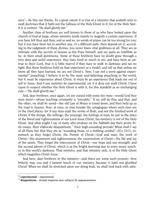ners"—be this our theme. To a great extent it is true of a ministry that seeketh only to exalt doctrines that it hath not the fullness of the Holy Ghost in it; for of the Holy Spirit it is written: "He shall glorify *me*."

Another class of brethren are well known to those of us who have looked upon the church of God at large, whose ministry tends mainly to magnify a certain experience. If you have felt thus and thus, and so and so, no words of praise can be too strong for you; but if you have been led in another way, in a different path, then depend on it, according to the judgment of these divines, you never knew vital godliness at all. They are as intimate with the secrets of heaven as the Pope himself, and are quite as infallible as he, in their small dominions. Some of these brethren have no doubt gone through a very deep and awful experience; they have lived so much in sin, and have been so untrue to their Lord, that it is little marvel if they have to walk in darkness and see no light. But these brethren hold up that experience as a model, and tell us that unless we know all they have learned, we are not Christ's. Now, I say not a word against experi-mental<sup>[10](#page-7-0)</sup> preaching; I believe it to be the most soul-fattening preaching in the world, but it must be experience about Christ. It must be an experience that leads me out of self to Jesus. And if any ministry be experimental, yet if it does not exalt Christ, I have cause to suspect whether the Holy Ghost is with it, for this standeth as an unchanging rule—"He shall glorify *me*."

And, dear brethren, once again, we are cursed with some few men—would God they were fewer—whose teaching constantly is "morality." If we will do this, and that, and the other, we shall be saved—the old Law of Moses is toned down, and then held up as the road to heaven. Now, at once, ye may forsake the synagogues where such men are in the chief places; for if any man exalt the works of flesh, and not the finished work of Christ; if the doings, the willings, the prayings, the feelings of man, be put in the place of the blood and righteousness of our Lord Jesus Christ, his ministry is not of the Holy Ghost. And what might I say of many who produce on the Sabbath day their pretty little essays, their elaborate disquisitions, $11$  their high-sounding periods? What shall I say of all these but that they are as "sounding brass, or a tinkling cymbal" (1Co 13:1), inasmuch as they forget Christ, the Person of Christ—God and man; the work of Christ—His atonement and righteousness; the resurrection of Christ—the life and joy of the saints. They forget the intercession of Christ—our hope and our strength; and the second advent of Christ, which is as the bright morning-star to every weary watcher in this world's darkness. That ministry, and that ministry only, is of the Holy Ghost which magnifies Christ Jesus.

And here, dear brethren in the ministry—and there are some such present—how bitterly may you and I lament much of our ministry because it hath not glorified Christ! When we shall lie stretched upon our dying beds, we shall look back with satis-

<span id="page-7-0"></span><sup>10</sup> **experimental** – experiential.

<span id="page-7-1"></span> $11$  disquisitions – formal inquiries into subjects by argumentation.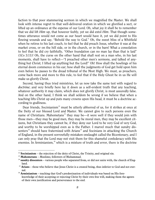faction to that poor stammering sermon in which we magnified the Master. We shall look with intense regret to that well-delivered oration in which we glorified a sect, or lifted up an ordinance at the expense of our Lord. Oh, what joy it shall be to remember that we did lift *Him* up, that however feebly, yet we did extol *Him*. That though sometimes utterance would not come as our heart would have it, yet we did point to His flowing wounds and say, "Behold the way to God." Oh, the sweet bliss of a Whitfield when he retires to his last couch, to feel that he did preach Jesus, whether it was at the market cross, or on the hill side, or in the church, or in the barn! What a consolation to feel that he did cry faithfully, "Other foundation can no man lay than that is laid" (1Co 3:11)! Oh, the curse on the other hand that shall rest on a man who, in his last moments, shall have to reflect—"I preached other men's sermons, and talked of anything but Christ; I lifted up anything but the Lord!" Oh! How shall the howlings of his eternal doom commence in his ear; how shall the judgments of God get hold upon him even before he passes to the dread tribunal of the Most High. We must, as preachers, come back more and more to this rule, to feel that if the Holy Ghost be in us He will make us glorify Christ.

Second, having thus tried ministries, let us now take the same test with regard to *doctrine*; and very briefly here lay it down as a self-evident truth that any teaching, whatever authority it may claim, which does not glorify Christ, is most assuredly false. And on the other hand, I think we shall seldom be wrong if we believe that when a teaching lifts Christ up and puts many crowns upon His head, it must be a doctrine according to godliness.

Dear friends, Socinianism<sup>[12](#page-8-0)</sup> must be utterly abhorred of us, for it strikes at once at the Deity of our blessed Lord and Master. We cannot give to such persons even the name of Christians. Mahometans<sup>[13](#page-8-1)</sup> they may be—it were well if they would join with those men—they may be good men, they may be moral men, they may be excellent citizens, but Christians they cannot be, if they deny our Lord to be very God of very God, and worthy to be worshipped even as is the Father. I marvel much that sundry dis-senters<sup>[14](#page-8-2)</sup> should have fraternized with Arians<sup>[15](#page-8-3)</sup> and Socinians in attacking the Church of England, in the present sorrowfully mistaken onslaught called the Bicentenary, and I can only pray that the Lord may not visit them for this shameful confederacy with His enemies. In Arminianism, $16$  which is a mixture of truth and error, there is the doctrine

<span id="page-8-0"></span><sup>&</sup>lt;sup>12</sup> **Socinianism** – the rejection of the deity of Christ, the Trinity, and original sin.

<span id="page-8-1"></span><sup>13</sup> **Mahometans** – Muslims; followers of Muhammad.

<span id="page-8-2"></span><sup>&</sup>lt;sup>14</sup> sundry dissenters – various people who separated from, or did not unite with, the church of England.

<span id="page-8-3"></span><sup>&</sup>lt;sup>15</sup> Arians – those who believe that Jesus Christ is a created being, thus inferior to God and not eternal.

<span id="page-8-4"></span><sup>&</sup>lt;sup>16</sup> **Arminianism** – teaching that God's predestination of individuals was based on His foreknowledge of their accepting or rejecting Christ by their own free will, making them the agents of their own justification and perseverance to the end.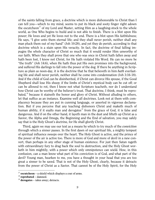of the saints falling from grace, a doctrine which is more dishonorable to Christ than I can tell you—which to my mind, seems to put its black and sooty finger right adown the escutcheon<sup>[17](#page-9-0)</sup> of my Lord and Master, setting Him as a laughing-stock to the whole world, as One Who begins to build and is not able to finish. There is a blot upon His power; He loves and yet He loves not to the end. There is a blot upon His faithfulness; He says, "I give unto them eternal life; and they shall never perish, neither shall any man pluck them out of my hand" (Joh 10:28), and yet they do perish, according to that doctrine which is a stain upon His veracity. In fact, the doctrine of final falling impugns the whole character of Christ so much that it would render Him unworthy of our faith. When they shall prove that one who was once in Christ hath fallen away and hath been lost, I know not Christ, for He hath violated His Word. He can no more be "the truth" (Joh 14:6), when He hath thus put His own promises into the background, and suffered His darlings to fall into the power of the dog. If there be anything in Scripture as plain as noon-day, it is the doctrine that he that believeth in him *hath* everlasting life and shall never perish, neither shall he come into condemnation (Joh 3:16-18). And if the child of God can be disinherited, if Christ can divorce His spouse, if the Good Shepherd shall lose His sheep; if the limbs of Christ's mystical body can be cut off; or can be allowed to rot, then I know not what Scripture teacheth, nor do I understand how Christ can be worthy of the believer's trust. That doctrine, I think, must be reprobated, $18$  because it staineth the honor and glory of Christ. Without alluding to others, let that suffice as an instance. Examine well all doctrines. Look not at them with complacency because they are put in cunning language, or asserted in vigorous declamation. But if you perceive that any teaching dishonors Christ and maketh much of human ability, if it exalts man and derogates<sup>[19](#page-9-2)</sup> from the grace of God, it is false and dangerous. And if on the other hand, it layeth man in the dust and lifteth up Christ as a Savior, the Alpha and Omega, the Beginning and the End of salvation, you may safely say that is the Holy Ghost's doctrine, for He shall glorify Christ.

Third, again we may use our text as a means by which to try much of the *conviction* through which a sinner passes. In the first dawn of our spiritual life, a mighty tempest of spiritual influence sweeps over the heart. The Holy Ghost is active, and the prince of the power of the air is active too. There is more of God and more of devil in a new convert, than perhaps in any other stage of human existence. For just then Satan rageth with extraordinary fury to drag back the soul to destruction, and the Holy Ghost worketh in him mightily, with a power which only omnipotence can wield. How, in this confusion, can a man know what part of his conviction is of God, and what part of the devil? Young man, hearken to me, you have a thought in your head that you are too great a sinner to be saved. That is not of the Holy Ghost, clearly, because it detracts from the power of Christ as a Savior. That cannot be of the Holy Spirit, for the Holy

<span id="page-9-0"></span> $17$  **escutcheon** – a shield which displays a coat of arms.

<span id="page-9-1"></span><sup>18</sup> **reprobated** – damned.

<span id="page-9-2"></span><sup>19</sup> **derogates** – takes away; detracts.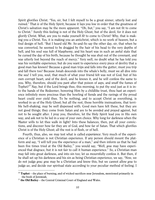Spirit glorifies Christ. "Yes, sir, but I felt myself to be a great sinner, utterly lost and ruined." That *is* of the Holy Spirit, because it lays you low in order that the greatness of Christ's salvation may be the more apparent. "Oh, but," you say, "I am not fit to come to Christ." Surely this feeling is not of the Holy Ghost, but of the devil, for it does not glorify Christ. What, are you to make yourself *fit* to come to Christ? Why, that is making you a Christ. Yes, it is making you an antichrist, which is no work of heaven, but a foul design of hell. "But I heard old Mr. So-and-So say the other day, sir, that when he was converted, he seemed to be dragged by the hair of his head to the very depths of hell, and his soul was full of blasphemy, and his heart was in such an awful state that he cursed the day of his birth, because he thought he was shut out of the covenant, and was utterly lost beyond the reach of mercy." Very well, no doubt what he has told you was his veritable experience; but do you want to experience every piece of devilry that a good man has known? Because a good man trips and falls into the gutter, must you trip and fall there too? Because Jonah descends into the whale's belly, must we all dive into the sea? I tell you, soul, that much of what your friend felt was not of God, but of his own corrupt heart, and of the devil, and he knows it, and he will confess the same to you. Why, therefore, should you pant after that poison of asps, and snuff the fumes of Tophet?<sup>[20](#page-10-0)</sup> Nay, but if the Lord brings thee, this morning, to put thy soul just as it is into the hands of the Redeemer, honoring Him by a childlike trust, thou hast an experience infinitely more precious than the howling of fiends and the ravings of thy proud heart could ever yield thee. To be nothing, and to accept Christ as everything, is worked in us of the Holy Ghost; but all the rest, those horrible insinuations, that terrible hell-shaking, may be well dispensed with. Good men have felt these, but they are not good things; they come from Satan and are to be avoided and prayed against, but not to be sought after. I pray you, therefore, let the Holy Spirit lead you in His own way, and ask not to be led in a way of your own choice. Why long for darkness when the Master wills to let thee walk in light? Into these balances, then, put all your convictions, and discover how far they are of God, and how far of Satan. That which glorifies Christ is of the Holy Ghost; all the rest is of flesh, or of hell.

Fourth, thus, also, we may test what is called *experience*. Very much of the experience of a Christian is not Christian experience. If any person should mount the platform and say, "I will tell you the experience of a man," and then inform us that he had been five times tried at the Old Bailey,<sup>[21](#page-10-1)</sup> you would say, "Well, *you* may have experienced that disgrace, but it is not fair to call it human experience." So, a Christian man may fall into great darkness, and into sin too; let us mournfully confess it. But then, if he shall set up his darkness and his sin as being Christian experience, we say, "Now, we do not judge *you; you* may be a Christian and know this, but we cannot allow *you* to judge *us*, and decide our spiritual state according to your peculiar method of feeling. I

<span id="page-10-0"></span><sup>&</sup>lt;sup>20</sup> Tophet – the place of burning, and of wicked sacrifices near Jerusalem, mentioned primarily in the book of Jeremiah.

<span id="page-10-1"></span><sup>21</sup> **the Old Bailey** – the Central Criminal Court of England and Wales.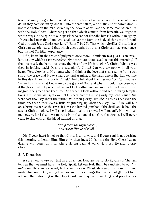fear that many biographies have done as much mischief as service, because while no doubt they comfort many who fall into the same state, yet a sufficient discrimination is not made between the man stirred by the powers of evil and the same man when filled with the Holy Ghost. Where we get to that which cometh from beneath, we ought to write always in the spirit of our apostle who cannot describe himself without an agony. "O wretched man that I am! who shall deliver me from the body of this death? I thank God through Jesus Christ our Lord" (Rom 7:24-25). That which glorifies Christ is true Christian experience, and that which does aught but this, a Christian may experience, but it is not Christian experience.

Fifth, let us lift the scales of judgment once more. I think our text gives us an excellent test by which to try *ourselves*. My hearer, art thou saved or not this morning? If thou be saved, the bent, the tenor, the bias of thy life is to glorify Christ. What sayest thou in looking back? Does the past glorify Christ? Can you say now with all your heart, "Yes, glory be to His name; when I think of the love that cleansed me from such sin, of the grace that broke a heart so hard as mine, of the faithfulness that has kept me to this day, I can only glorify Christ." And what about the present? "Oh,"can you say, "when I think of what I now am by the grace of God, and what I should have been now if the grace had not prevented; when I look within and see so much blackness, I must magnify the grace that keeps me. And when I look without and see so many temptations, I must and will speak well of His dear name; I must glorify my Lord Jesus." And what dost thou say about the future? Wilt thou glorify Him *then*? I think I see even the timid ones with their eyes a little brightening up when they say, "Ay! If He will but once bring me across the river, if I ever get beyond gunshot of the devil, and behold the face of Christ in glory, I will sing loudest of all the crowd. I will magnify Him with all my powers, for I shall owe more to Him than any else before the throne. I will never cease to sing with all the blood-washed throng,

#### *"Bring forth the royal diadem, And crown Him Lord of all."*

Oh! If your heart is not so that Christ is all to you, and if your soul is not desiring this morning to honor Him, Him only, then indeed I fear me the Holy Ghost has no dealing with your spirit, for where He has been at work, He must, He shall glorify Christ.

## <span id="page-11-0"></span>2. A Direction

We are now to use our text as a direction. How are we to glorify Christ? The text tells us that we must have the Holy Spirit. Let our text, then, be sanctified to our *humiliation.* Here are we saved, by the rich love of Christ, delivered from our sins, and made alive unto God, and yet we are such weak things that we cannot glorify Christ without the indwelling of the Holy Ghost. We may pant, and long, and pray that we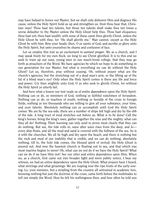may have helped to honor our Master, but we shall only dishonor Him and disgrace His cause, unless the Holy Spirit hold us up and strengthen us. Dost thou hear that, Christian man? Thou hast ten talents, but those ten talents shall make thee ten times a worse defaulter to thy Master unless the Holy Ghost help thee. Thou hast eloquence; thou hast wit; thou hast wealth: with none of these canst thou glorify Christ, unless the Holy Ghost be with thee, for "He shall glorify me." Man cannot, except as the Holy Ghost be with him. Bow your heads, then, O ye saints of God, and ascribe ye glory unto the Holy Spirit, but unto yourselves be shame and confusion of face.

Let us employ this text as an excitement to *earnest prayer*. We as a church, and I may speak freely for my own flock, we long to see Christ glorified. It is to this end we seek to train up our sons, young men in our much-loved college, that they may go forth as preachers of the Word. We have agencies by which we hope to do something in our generation for our Master, but what is everything we can do without the Holy Ghost? Let us, therefore, pray without ceasing. Oh, without prayer what are the church's agencies, but the stretching out of a dead man's arm, or the lifting up of the lid of a blind man's eye? Only when the Holy Spirit comes is there any life and force and power. Cry then mightily unto God, O ye who seek to glorify Christ, for without the Holy Spirit ye utterly fail.

And here what a lesson our text reads us of *entire dependence* upon the Holy Spirit. Nothing can ye do, ye ministers of God, nothing ye faithful watchmen of Jerusalem. Nothing can ye do, ye teachers of youth, nothing ye heralds of the cross in foreign fields, nothing ye ten thousands who are willing to give all your substance, your time, and your talents. Absolutely nothing can ye accomplish until God the Holy Spirit comes. We are by the sea-side; there are a number of ships left high and dry by the ebb of the tide. A long tract of mud stretches out before us. What is to be done? Call the king's horses, bring the king's men, gather together the wise and the mighty; what can they all do? Nothing. Their learning can only avail to prove most clearly that they can do nothing. But see, the tide rolls in, wave after wave rises from the deep, and lo every ship floats, and all the mud and sand is covered with the fullness of the sea. So is it with the churches. We all lie high and dry upon the beach, and there is nothing but the rock and mud of our inability that is visible, and we can do nothing, absolutely nothing, till lo, the holy tide comes, the blessed spirit of revival; the Holy Ghost is poured out. And now the heaviest church is floating out to sea, and that which was most inactive begins to move! Oh, what can we not do if we have the Holy Spirit? What can we do if we have Him not? See our utter and entire dependence upon Him. When we, as a church, first came out into broader light and more public notice, I bear my witness, we had an entire dependence upon the Holy Ghost. What prayers have I heard, what strivings and what groanings. We are reaping now the ripe fruits of the early sowing. Lo, your minister, but a stripling from the country all untrained in academic lore, knowing nothing but just the doctrine of the cross, came forth before the multitudes to tell out simply the Word. How he felt his nothingness then, and how often he told you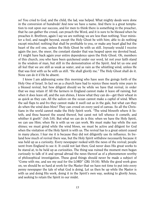so! You cried to God, and the child, the lad, was helped. What mighty deeds were done in the conversion of hundreds! And now we have a name. And there is a great temptation to rest upon our success, and for men to think there is something in the preacher, that he can gather the crowd, can preach the Word, and it is sure to be blessed when he preaches it. Brethren, again I say we are nothing; we are less than nothing. Your minister a fool, and naught beyond, except the Holy Ghost be with him; able to do nothing except mischief; nothing that shall be profitable to you, or make any heart glad but the heart of the evil one, unless the Holy Ghost be with us still. Joyously would I receive again the jeer, the sneer, the constant slander that was heaped upon my devoted head, if I might have back again your entire dependence upon the Holy Ghost. Oh, members of this church, you who have been quickened under our word, let not your faith stand in the wisdom of man, but still in the demonstration of the Spirit. And let us one and all feel that we are still as weak as water, and as vain as the whistling wind, unless He that was first with us be with us still. "He shall glorify me." The Holy Ghost shall do it. None can do it if He be absent.

I know I am addressing some this morning who have seen the goings forth of the Holy One of Israel. In fact we as a church have had to rejoice these nearly nine years in a blessed revival, but how diligent should we be while we have that revival, in order that we may retain it! All the farmers in England cannot make it leave off raining, but when it does leave off, and the sun shines, I know what they can do—get their wheat in as quick as they can. All the sailors on the ocean cannot make a capful of wind. When the sail flaps to and fro they cannot make it swell out as in the gale, but what can they do when the wind does blow? They can crowd on every yard of canvas. So all the Christians in the world cannot make the Holy Spirit work. "The wind bloweth where it listeth, and thou hearest the sound thereof, but canst not tell whence it cometh, and whither it goeth" (Joh 3:8). But what we can do is this: when we have the Holy Spirit, we can use Him; when He is with us we can work. We must make hay while the sun shines; we must grind while the wind blows, we must be active and diligent for God when the visitation of the Holy Spirit is with us. The revival has to a great extent ceased in many places. I fear me it is because they did not diligently use its influence. In Ireland how much of revival there was, but the Holy Spirit withdrew necessarily because it was held up as a curiosity. Every newspaper reeked with the news of the revival; people went from England to see it. It could not last then; God never does His great works to be stared at, to be held up as curiosities. The thing was ruined the moment men began curiously to talk of it and spread abroad the news thereof as of a phenomenon worthy of philosophical investigation. These good things should never be made a subject of "Come with me, and see my zeal for the LORD" (2Ki 10:16). While the good work goes on, we should be so hard at work for the Master that we have not time to put into every penny newspaper the tale of what God is doing. Let us then be up while the Master is with us and doing His work, doing it in the Spirit's own way, seeking to glorify Jesus, and seeking to retain the Spirit in our midst.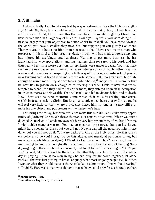## <span id="page-14-0"></span>3. A Stimulus

And now, lastly, I am to take my text by way of a stimulus. Does the Holy Ghost glorify Christ? Ah, then, how should we aim to do it! Let us make, then, beloved brothers and sisters in Christ, let us make this the one object of our life, to glorify Christ. You have been a man in a large way of business. Could you say while you were doing business so largely that your object was to honor Christ in it? Well, you have come down in the world; you have a smaller shop now. Yes, but suppose you can glorify God more. Then you are in a better position than you used to be. I have seen many a man who prospered in his soul and honored his Master much, who has made a wrong step, and has injured his usefulness and happiness. Wanting to get more business, he has launched into wide speculations, and has had less time for serving his Lord; and has thus really been in a worse position, for spirituals were under a decay. You may have seen in the newspapers an instance of what sometimes comes through getting wealthy. A man and his wife were prospering in a little way of business, as hard-working people, near Birmingham. A friend died and left the wife some £1,300, no great sum, but quite enough to ruin a man. They at once took a public-house, $2<sup>2</sup>$  and you will remember that he now lies in prison on a charge of murdering his wife. Little marvel that when, tempted by what little they had to seek after more, they entered upon an ill occupation in order to increase their wealth. That evil trade soon led to vicious habits and to death. Now I have seen believers mournfully impoverish their souls by seeking after carnal wealth instead of seeking Christ. But let a man's only object be to glorify Christ, and he will feel very little concern where providence places him, so long as he may still promote his one object, and put crowns on the Redeemer's head.

This brings me to say, brethren, while we make this our aim, let us take every opportunity of glorifying Christ. We throw thousands of opportunities away. Where we might do good we neglect it. I chide my own self here very bitterly and very often, but I fear me I might chide many of you too. You had an opportunity yesterday, but you lost it; you might have spoken for Christ but you did not. No one can tell the good you might have done, but you did not do it. You were backward. Oh, as the Holy Ghost glorifies Christ everywhere, so do you! I pray you do this always, not merely at particular times, but make your whole life a glorifying of Christ. As I sat on an omnibus<sup>[23](#page-14-2)</sup> yesterday, I heard a man saying behind me how greatly he admired the continental way of keeping Sundays—going to the church in the morning, and going to the theater at night. "Don't you see," he said, "it is irrational to think that the Almighty expects us to spend the whole day in praying. There is no man living who can pray for six hours together, let alone twelve." That was just putting in broad language what most ungodly people feel, but then I wonder what they would make of the Apostle Paul's admonition, "Pray without ceasing" (1Th 5:17). Here was a man who thought that nobody could pray for six hours together,

<span id="page-14-1"></span><sup>22</sup> **public-house** – bar.

<span id="page-14-2"></span><sup>23</sup> **omnibus** – a large transport vehicle.